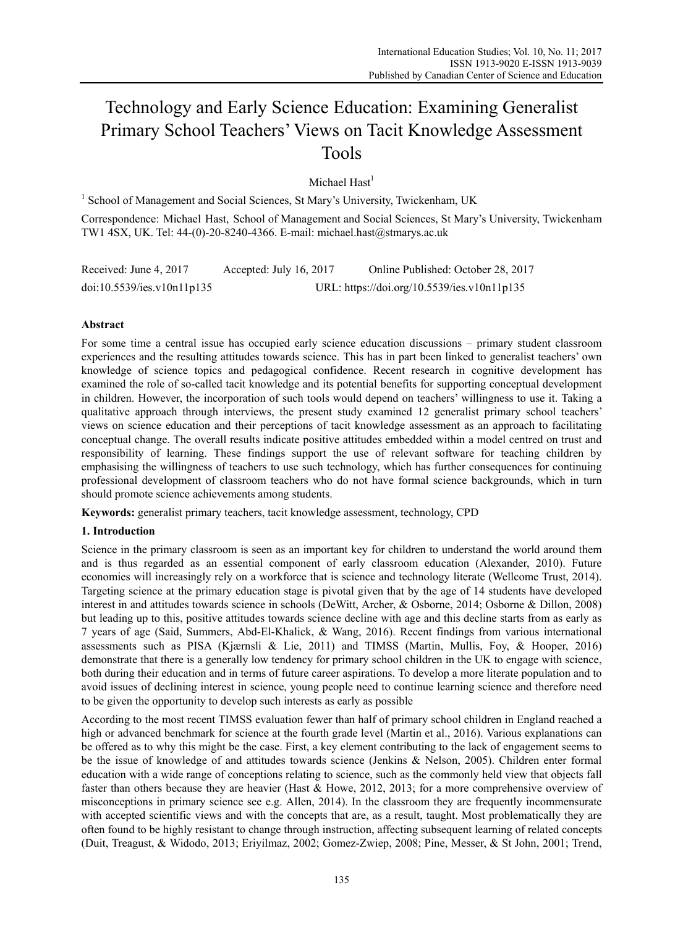# Technology and Early Science Education: Examining Generalist Primary School Teachers' Views on Tacit Knowledge Assessment Tools

Michael  $\text{Hast}^1$ 

<sup>1</sup> School of Management and Social Sciences, St Mary's University, Twickenham, UK

Correspondence: Michael Hast, School of Management and Social Sciences, St Mary's University, Twickenham TW1 4SX, UK. Tel: 44-(0)-20-8240-4366. E-mail: michael.hast@stmarys.ac.uk

Received: June 4, 2017 Accepted: July 16, 2017 Online Published: October 28, 2017 doi:10.5539/ies.v10n11p135 URL: https://doi.org/10.5539/ies.v10n11p135

# **Abstract**

For some time a central issue has occupied early science education discussions – primary student classroom experiences and the resulting attitudes towards science. This has in part been linked to generalist teachers' own knowledge of science topics and pedagogical confidence. Recent research in cognitive development has examined the role of so-called tacit knowledge and its potential benefits for supporting conceptual development in children. However, the incorporation of such tools would depend on teachers' willingness to use it. Taking a qualitative approach through interviews, the present study examined 12 generalist primary school teachers' views on science education and their perceptions of tacit knowledge assessment as an approach to facilitating conceptual change. The overall results indicate positive attitudes embedded within a model centred on trust and responsibility of learning. These findings support the use of relevant software for teaching children by emphasising the willingness of teachers to use such technology, which has further consequences for continuing professional development of classroom teachers who do not have formal science backgrounds, which in turn should promote science achievements among students.

**Keywords:** generalist primary teachers, tacit knowledge assessment, technology, CPD

## **1. Introduction**

Science in the primary classroom is seen as an important key for children to understand the world around them and is thus regarded as an essential component of early classroom education (Alexander, 2010). Future economies will increasingly rely on a workforce that is science and technology literate (Wellcome Trust, 2014). Targeting science at the primary education stage is pivotal given that by the age of 14 students have developed interest in and attitudes towards science in schools (DeWitt, Archer, & Osborne, 2014; Osborne & Dillon, 2008) but leading up to this, positive attitudes towards science decline with age and this decline starts from as early as 7 years of age (Said, Summers, Abd-El-Khalick, & Wang, 2016). Recent findings from various international assessments such as PISA (Kjærnsli & Lie, 2011) and TIMSS (Martin, Mullis, Foy, & Hooper, 2016) demonstrate that there is a generally low tendency for primary school children in the UK to engage with science, both during their education and in terms of future career aspirations. To develop a more literate population and to avoid issues of declining interest in science, young people need to continue learning science and therefore need to be given the opportunity to develop such interests as early as possible

According to the most recent TIMSS evaluation fewer than half of primary school children in England reached a high or advanced benchmark for science at the fourth grade level (Martin et al., 2016). Various explanations can be offered as to why this might be the case. First, a key element contributing to the lack of engagement seems to be the issue of knowledge of and attitudes towards science (Jenkins & Nelson, 2005). Children enter formal education with a wide range of conceptions relating to science, such as the commonly held view that objects fall faster than others because they are heavier (Hast & Howe, 2012, 2013; for a more comprehensive overview of misconceptions in primary science see e.g. Allen, 2014). In the classroom they are frequently incommensurate with accepted scientific views and with the concepts that are, as a result, taught. Most problematically they are often found to be highly resistant to change through instruction, affecting subsequent learning of related concepts (Duit, Treagust, & Widodo, 2013; Eriyilmaz, 2002; Gomez-Zwiep, 2008; Pine, Messer, & St John, 2001; Trend,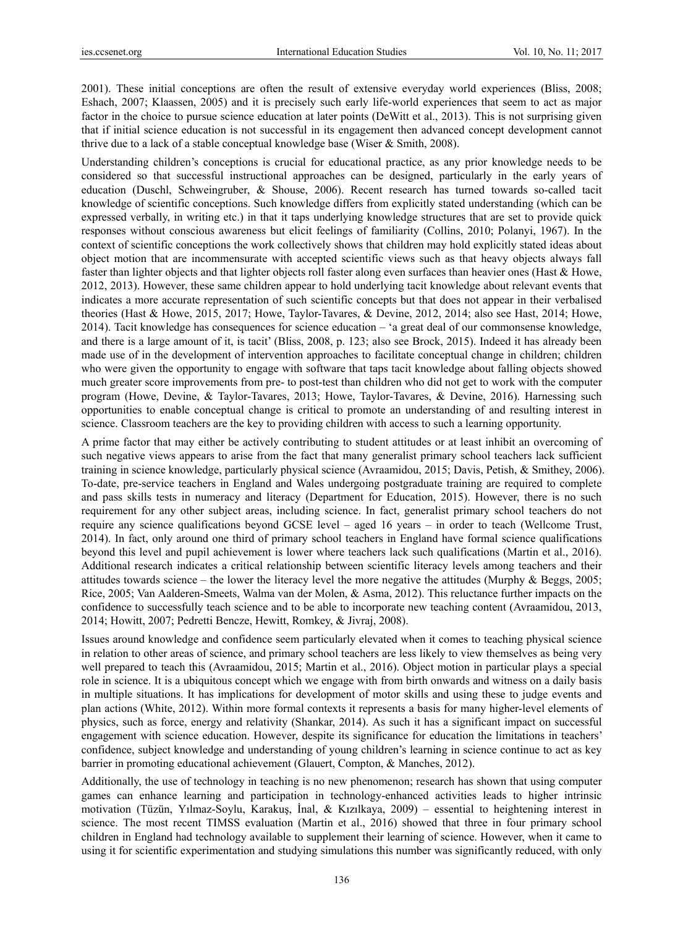2001). These initial conceptions are often the result of extensive everyday world experiences (Bliss, 2008; Eshach, 2007; Klaassen, 2005) and it is precisely such early life-world experiences that seem to act as major factor in the choice to pursue science education at later points (DeWitt et al., 2013). This is not surprising given that if initial science education is not successful in its engagement then advanced concept development cannot thrive due to a lack of a stable conceptual knowledge base (Wiser & Smith, 2008).

Understanding children's conceptions is crucial for educational practice, as any prior knowledge needs to be considered so that successful instructional approaches can be designed, particularly in the early years of education (Duschl, Schweingruber, & Shouse, 2006). Recent research has turned towards so-called tacit knowledge of scientific conceptions. Such knowledge differs from explicitly stated understanding (which can be expressed verbally, in writing etc.) in that it taps underlying knowledge structures that are set to provide quick responses without conscious awareness but elicit feelings of familiarity (Collins, 2010; Polanyi, 1967). In the context of scientific conceptions the work collectively shows that children may hold explicitly stated ideas about object motion that are incommensurate with accepted scientific views such as that heavy objects always fall faster than lighter objects and that lighter objects roll faster along even surfaces than heavier ones (Hast & Howe, 2012, 2013). However, these same children appear to hold underlying tacit knowledge about relevant events that indicates a more accurate representation of such scientific concepts but that does not appear in their verbalised theories (Hast & Howe, 2015, 2017; Howe, Taylor-Tavares, & Devine, 2012, 2014; also see Hast, 2014; Howe, 2014). Tacit knowledge has consequences for science education – 'a great deal of our commonsense knowledge, and there is a large amount of it, is tacit' (Bliss, 2008, p. 123; also see Brock, 2015). Indeed it has already been made use of in the development of intervention approaches to facilitate conceptual change in children; children who were given the opportunity to engage with software that taps tacit knowledge about falling objects showed much greater score improvements from pre- to post-test than children who did not get to work with the computer program (Howe, Devine, & Taylor-Tavares, 2013; Howe, Taylor-Tavares, & Devine, 2016). Harnessing such opportunities to enable conceptual change is critical to promote an understanding of and resulting interest in science. Classroom teachers are the key to providing children with access to such a learning opportunity.

A prime factor that may either be actively contributing to student attitudes or at least inhibit an overcoming of such negative views appears to arise from the fact that many generalist primary school teachers lack sufficient training in science knowledge, particularly physical science (Avraamidou, 2015; Davis, Petish, & Smithey, 2006). To-date, pre-service teachers in England and Wales undergoing postgraduate training are required to complete and pass skills tests in numeracy and literacy (Department for Education, 2015). However, there is no such requirement for any other subject areas, including science. In fact, generalist primary school teachers do not require any science qualifications beyond GCSE level – aged 16 years – in order to teach (Wellcome Trust, 2014). In fact, only around one third of primary school teachers in England have formal science qualifications beyond this level and pupil achievement is lower where teachers lack such qualifications (Martin et al., 2016). Additional research indicates a critical relationship between scientific literacy levels among teachers and their attitudes towards science – the lower the literacy level the more negative the attitudes (Murphy & Beggs, 2005; Rice, 2005; Van Aalderen-Smeets, Walma van der Molen, & Asma, 2012). This reluctance further impacts on the confidence to successfully teach science and to be able to incorporate new teaching content (Avraamidou, 2013, 2014; Howitt, 2007; Pedretti Bencze, Hewitt, Romkey, & Jivraj, 2008).

Issues around knowledge and confidence seem particularly elevated when it comes to teaching physical science in relation to other areas of science, and primary school teachers are less likely to view themselves as being very well prepared to teach this (Avraamidou, 2015; Martin et al., 2016). Object motion in particular plays a special role in science. It is a ubiquitous concept which we engage with from birth onwards and witness on a daily basis in multiple situations. It has implications for development of motor skills and using these to judge events and plan actions (White, 2012). Within more formal contexts it represents a basis for many higher-level elements of physics, such as force, energy and relativity (Shankar, 2014). As such it has a significant impact on successful engagement with science education. However, despite its significance for education the limitations in teachers' confidence, subject knowledge and understanding of young children's learning in science continue to act as key barrier in promoting educational achievement (Glauert, Compton, & Manches, 2012).

Additionally, the use of technology in teaching is no new phenomenon; research has shown that using computer games can enhance learning and participation in technology-enhanced activities leads to higher intrinsic motivation (Tüzün, Yılmaz-Soylu, Karakuş, İnal, & Kızılkaya, 2009) – essential to heightening interest in science. The most recent TIMSS evaluation (Martin et al., 2016) showed that three in four primary school children in England had technology available to supplement their learning of science. However, when it came to using it for scientific experimentation and studying simulations this number was significantly reduced, with only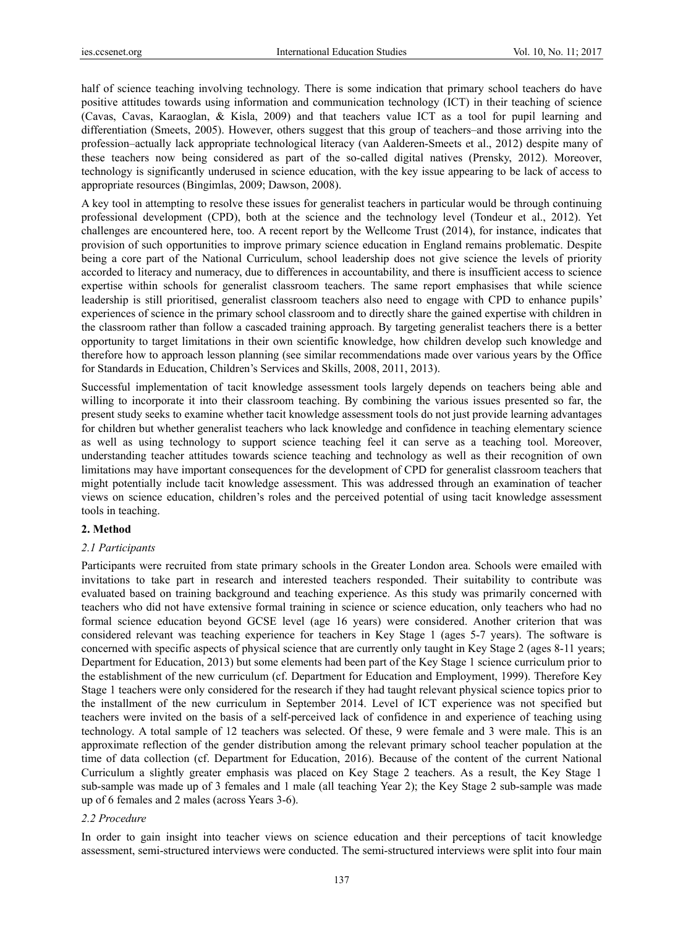half of science teaching involving technology. There is some indication that primary school teachers do have positive attitudes towards using information and communication technology (ICT) in their teaching of science (Cavas, Cavas, Karaoglan, & Kisla, 2009) and that teachers value ICT as a tool for pupil learning and differentiation (Smeets, 2005). However, others suggest that this group of teachers–and those arriving into the profession–actually lack appropriate technological literacy (van Aalderen-Smeets et al., 2012) despite many of these teachers now being considered as part of the so-called digital natives (Prensky, 2012). Moreover, technology is significantly underused in science education, with the key issue appearing to be lack of access to appropriate resources (Bingimlas, 2009; Dawson, 2008).

A key tool in attempting to resolve these issues for generalist teachers in particular would be through continuing professional development (CPD), both at the science and the technology level (Tondeur et al., 2012). Yet challenges are encountered here, too. A recent report by the Wellcome Trust (2014), for instance, indicates that provision of such opportunities to improve primary science education in England remains problematic. Despite being a core part of the National Curriculum, school leadership does not give science the levels of priority accorded to literacy and numeracy, due to differences in accountability, and there is insufficient access to science expertise within schools for generalist classroom teachers. The same report emphasises that while science leadership is still prioritised, generalist classroom teachers also need to engage with CPD to enhance pupils' experiences of science in the primary school classroom and to directly share the gained expertise with children in the classroom rather than follow a cascaded training approach. By targeting generalist teachers there is a better opportunity to target limitations in their own scientific knowledge, how children develop such knowledge and therefore how to approach lesson planning (see similar recommendations made over various years by the Office for Standards in Education, Children's Services and Skills, 2008, 2011, 2013).

Successful implementation of tacit knowledge assessment tools largely depends on teachers being able and willing to incorporate it into their classroom teaching. By combining the various issues presented so far, the present study seeks to examine whether tacit knowledge assessment tools do not just provide learning advantages for children but whether generalist teachers who lack knowledge and confidence in teaching elementary science as well as using technology to support science teaching feel it can serve as a teaching tool. Moreover, understanding teacher attitudes towards science teaching and technology as well as their recognition of own limitations may have important consequences for the development of CPD for generalist classroom teachers that might potentially include tacit knowledge assessment. This was addressed through an examination of teacher views on science education, children's roles and the perceived potential of using tacit knowledge assessment tools in teaching.

# **2. Method**

#### *2.1 Participants*

Participants were recruited from state primary schools in the Greater London area. Schools were emailed with invitations to take part in research and interested teachers responded. Their suitability to contribute was evaluated based on training background and teaching experience. As this study was primarily concerned with teachers who did not have extensive formal training in science or science education, only teachers who had no formal science education beyond GCSE level (age 16 years) were considered. Another criterion that was considered relevant was teaching experience for teachers in Key Stage 1 (ages 5-7 years). The software is concerned with specific aspects of physical science that are currently only taught in Key Stage 2 (ages 8-11 years; Department for Education, 2013) but some elements had been part of the Key Stage 1 science curriculum prior to the establishment of the new curriculum (cf. Department for Education and Employment, 1999). Therefore Key Stage 1 teachers were only considered for the research if they had taught relevant physical science topics prior to the installment of the new curriculum in September 2014. Level of ICT experience was not specified but teachers were invited on the basis of a self-perceived lack of confidence in and experience of teaching using technology. A total sample of 12 teachers was selected. Of these, 9 were female and 3 were male. This is an approximate reflection of the gender distribution among the relevant primary school teacher population at the time of data collection (cf. Department for Education, 2016). Because of the content of the current National Curriculum a slightly greater emphasis was placed on Key Stage 2 teachers. As a result, the Key Stage 1 sub-sample was made up of 3 females and 1 male (all teaching Year 2); the Key Stage 2 sub-sample was made up of 6 females and 2 males (across Years 3-6).

## *2.2 Procedure*

In order to gain insight into teacher views on science education and their perceptions of tacit knowledge assessment, semi-structured interviews were conducted. The semi-structured interviews were split into four main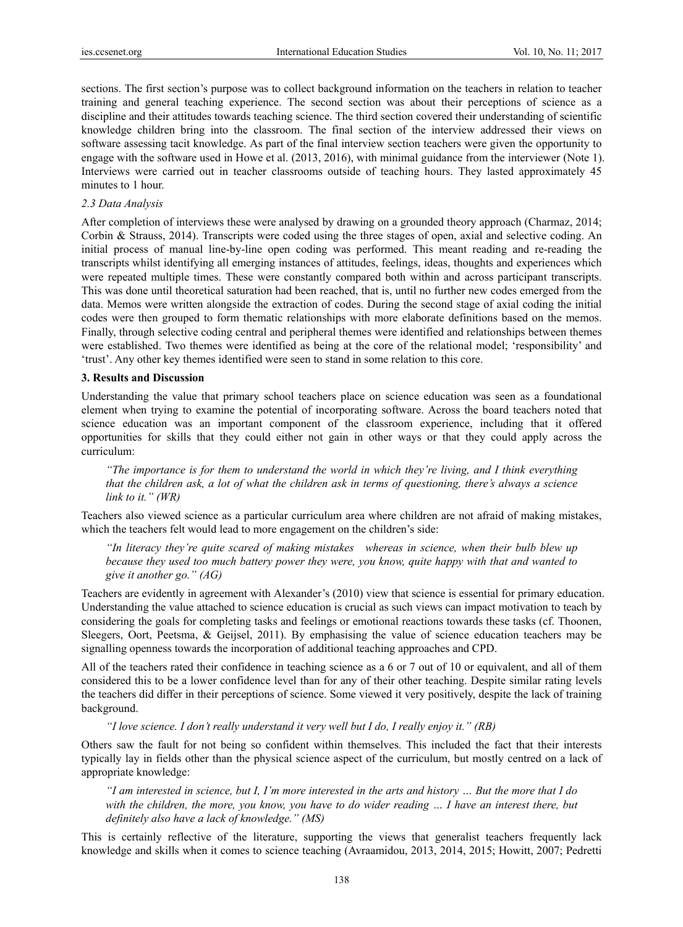sections. The first section's purpose was to collect background information on the teachers in relation to teacher training and general teaching experience. The second section was about their perceptions of science as a discipline and their attitudes towards teaching science. The third section covered their understanding of scientific knowledge children bring into the classroom. The final section of the interview addressed their views on software assessing tacit knowledge. As part of the final interview section teachers were given the opportunity to engage with the software used in Howe et al. (2013, 2016), with minimal guidance from the interviewer (Note 1). Interviews were carried out in teacher classrooms outside of teaching hours. They lasted approximately 45 minutes to 1 hour.

## *2.3 Data Analysis*

After completion of interviews these were analysed by drawing on a grounded theory approach (Charmaz, 2014; Corbin & Strauss, 2014). Transcripts were coded using the three stages of open, axial and selective coding. An initial process of manual line-by-line open coding was performed. This meant reading and re-reading the transcripts whilst identifying all emerging instances of attitudes, feelings, ideas, thoughts and experiences which were repeated multiple times. These were constantly compared both within and across participant transcripts. This was done until theoretical saturation had been reached, that is, until no further new codes emerged from the data. Memos were written alongside the extraction of codes. During the second stage of axial coding the initial codes were then grouped to form thematic relationships with more elaborate definitions based on the memos. Finally, through selective coding central and peripheral themes were identified and relationships between themes were established. Two themes were identified as being at the core of the relational model; 'responsibility' and 'trust'. Any other key themes identified were seen to stand in some relation to this core.

## **3. Results and Discussion**

Understanding the value that primary school teachers place on science education was seen as a foundational element when trying to examine the potential of incorporating software. Across the board teachers noted that science education was an important component of the classroom experience, including that it offered opportunities for skills that they could either not gain in other ways or that they could apply across the curriculum:

*"The importance is for them to understand the world in which they're living, and I think everything that the children ask, a lot of what the children ask in terms of questioning, there's always a science link to it." (WR)* 

Teachers also viewed science as a particular curriculum area where children are not afraid of making mistakes, which the teachers felt would lead to more engagement on the children's side:

*"In literacy they're quite scared of making mistakes whereas in science, when their bulb blew up because they used too much battery power they were, you know, quite happy with that and wanted to give it another go." (AG)* 

Teachers are evidently in agreement with Alexander's (2010) view that science is essential for primary education. Understanding the value attached to science education is crucial as such views can impact motivation to teach by considering the goals for completing tasks and feelings or emotional reactions towards these tasks (cf. Thoonen, Sleegers, Oort, Peetsma, & Geijsel, 2011). By emphasising the value of science education teachers may be signalling openness towards the incorporation of additional teaching approaches and CPD.

All of the teachers rated their confidence in teaching science as a 6 or 7 out of 10 or equivalent, and all of them considered this to be a lower confidence level than for any of their other teaching. Despite similar rating levels the teachers did differ in their perceptions of science. Some viewed it very positively, despite the lack of training background.

*"I love science. I don't really understand it very well but I do, I really enjoy it." (RB)* 

Others saw the fault for not being so confident within themselves. This included the fact that their interests typically lay in fields other than the physical science aspect of the curriculum, but mostly centred on a lack of appropriate knowledge:

*"I am interested in science, but I, I'm more interested in the arts and history … But the more that I do with the children, the more, you know, you have to do wider reading … I have an interest there, but definitely also have a lack of knowledge." (MS)* 

This is certainly reflective of the literature, supporting the views that generalist teachers frequently lack knowledge and skills when it comes to science teaching (Avraamidou, 2013, 2014, 2015; Howitt, 2007; Pedretti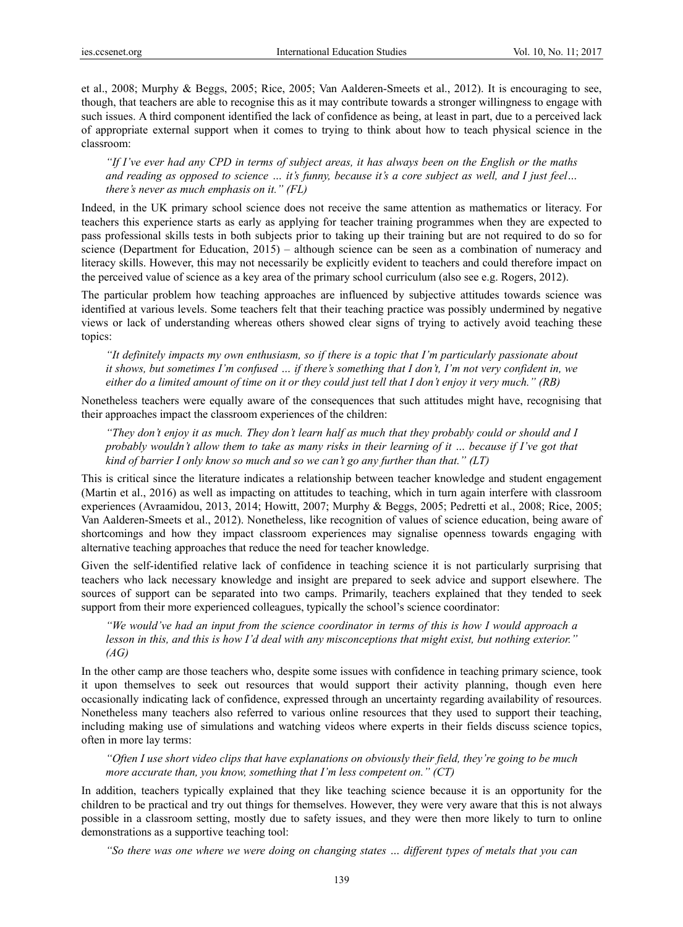et al., 2008; Murphy & Beggs, 2005; Rice, 2005; Van Aalderen-Smeets et al., 2012). It is encouraging to see, though, that teachers are able to recognise this as it may contribute towards a stronger willingness to engage with such issues. A third component identified the lack of confidence as being, at least in part, due to a perceived lack of appropriate external support when it comes to trying to think about how to teach physical science in the classroom:

*"If I've ever had any CPD in terms of subject areas, it has always been on the English or the maths and reading as opposed to science … it's funny, because it's a core subject as well, and I just feel… there's never as much emphasis on it." (FL)* 

Indeed, in the UK primary school science does not receive the same attention as mathematics or literacy. For teachers this experience starts as early as applying for teacher training programmes when they are expected to pass professional skills tests in both subjects prior to taking up their training but are not required to do so for science (Department for Education, 2015) – although science can be seen as a combination of numeracy and literacy skills. However, this may not necessarily be explicitly evident to teachers and could therefore impact on the perceived value of science as a key area of the primary school curriculum (also see e.g. Rogers, 2012).

The particular problem how teaching approaches are influenced by subjective attitudes towards science was identified at various levels. Some teachers felt that their teaching practice was possibly undermined by negative views or lack of understanding whereas others showed clear signs of trying to actively avoid teaching these topics:

*"It definitely impacts my own enthusiasm, so if there is a topic that I'm particularly passionate about it shows, but sometimes I'm confused … if there's something that I don't, I'm not very confident in, we either do a limited amount of time on it or they could just tell that I don't enjoy it very much." (RB)* 

Nonetheless teachers were equally aware of the consequences that such attitudes might have, recognising that their approaches impact the classroom experiences of the children:

*"They don't enjoy it as much. They don't learn half as much that they probably could or should and I probably wouldn't allow them to take as many risks in their learning of it … because if I've got that kind of barrier I only know so much and so we can't go any further than that." (LT)* 

This is critical since the literature indicates a relationship between teacher knowledge and student engagement (Martin et al., 2016) as well as impacting on attitudes to teaching, which in turn again interfere with classroom experiences (Avraamidou, 2013, 2014; Howitt, 2007; Murphy & Beggs, 2005; Pedretti et al., 2008; Rice, 2005; Van Aalderen-Smeets et al., 2012). Nonetheless, like recognition of values of science education, being aware of shortcomings and how they impact classroom experiences may signalise openness towards engaging with alternative teaching approaches that reduce the need for teacher knowledge.

Given the self-identified relative lack of confidence in teaching science it is not particularly surprising that teachers who lack necessary knowledge and insight are prepared to seek advice and support elsewhere. The sources of support can be separated into two camps. Primarily, teachers explained that they tended to seek support from their more experienced colleagues, typically the school's science coordinator:

*"We would've had an input from the science coordinator in terms of this is how I would approach a lesson in this, and this is how I'd deal with any misconceptions that might exist, but nothing exterior." (AG)* 

In the other camp are those teachers who, despite some issues with confidence in teaching primary science, took it upon themselves to seek out resources that would support their activity planning, though even here occasionally indicating lack of confidence, expressed through an uncertainty regarding availability of resources. Nonetheless many teachers also referred to various online resources that they used to support their teaching, including making use of simulations and watching videos where experts in their fields discuss science topics, often in more lay terms:

*"Often I use short video clips that have explanations on obviously their field, they're going to be much more accurate than, you know, something that I'm less competent on." (CT)* 

In addition, teachers typically explained that they like teaching science because it is an opportunity for the children to be practical and try out things for themselves. However, they were very aware that this is not always possible in a classroom setting, mostly due to safety issues, and they were then more likely to turn to online demonstrations as a supportive teaching tool:

*"So there was one where we were doing on changing states … different types of metals that you can*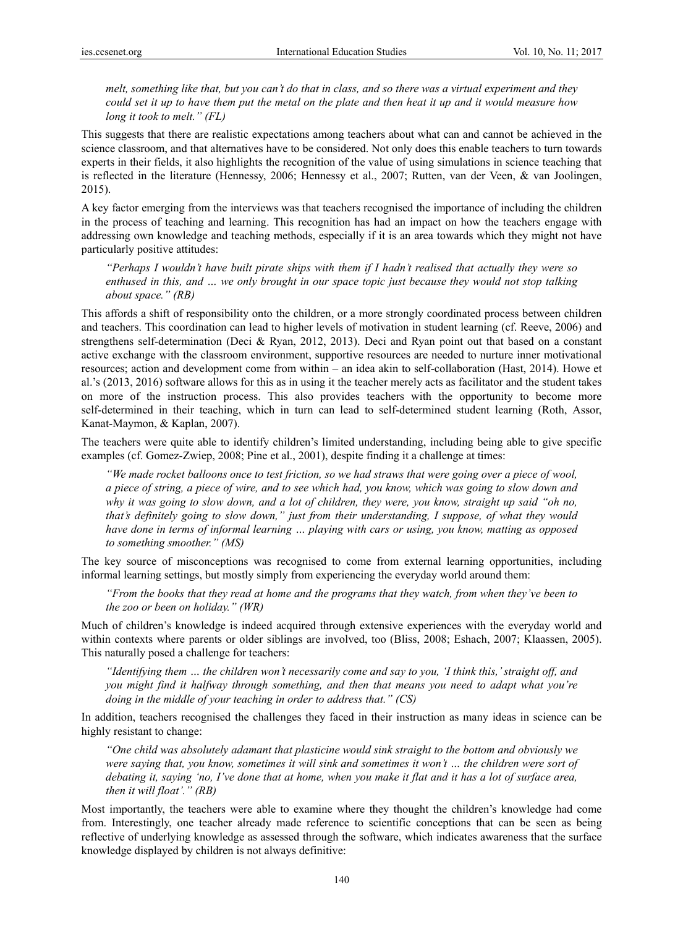*melt, something like that, but you can't do that in class, and so there was a virtual experiment and they could set it up to have them put the metal on the plate and then heat it up and it would measure how long it took to melt." (FL)* 

This suggests that there are realistic expectations among teachers about what can and cannot be achieved in the science classroom, and that alternatives have to be considered. Not only does this enable teachers to turn towards experts in their fields, it also highlights the recognition of the value of using simulations in science teaching that is reflected in the literature (Hennessy, 2006; Hennessy et al., 2007; Rutten, van der Veen, & van Joolingen, 2015).

A key factor emerging from the interviews was that teachers recognised the importance of including the children in the process of teaching and learning. This recognition has had an impact on how the teachers engage with addressing own knowledge and teaching methods, especially if it is an area towards which they might not have particularly positive attitudes:

*"Perhaps I wouldn't have built pirate ships with them if I hadn't realised that actually they were so enthused in this, and … we only brought in our space topic just because they would not stop talking about space." (RB)* 

This affords a shift of responsibility onto the children, or a more strongly coordinated process between children and teachers. This coordination can lead to higher levels of motivation in student learning (cf. Reeve, 2006) and strengthens self-determination (Deci & Ryan, 2012, 2013). Deci and Ryan point out that based on a constant active exchange with the classroom environment, supportive resources are needed to nurture inner motivational resources; action and development come from within – an idea akin to self-collaboration (Hast, 2014). Howe et al.'s (2013, 2016) software allows for this as in using it the teacher merely acts as facilitator and the student takes on more of the instruction process. This also provides teachers with the opportunity to become more self-determined in their teaching, which in turn can lead to self-determined student learning (Roth, Assor, Kanat-Maymon, & Kaplan, 2007).

The teachers were quite able to identify children's limited understanding, including being able to give specific examples (cf. Gomez-Zwiep, 2008; Pine et al., 2001), despite finding it a challenge at times:

*"We made rocket balloons once to test friction, so we had straws that were going over a piece of wool, a piece of string, a piece of wire, and to see which had, you know, which was going to slow down and why it was going to slow down, and a lot of children, they were, you know, straight up said "oh no, that's definitely going to slow down," just from their understanding, I suppose, of what they would have done in terms of informal learning … playing with cars or using, you know, matting as opposed to something smoother." (MS)* 

The key source of misconceptions was recognised to come from external learning opportunities, including informal learning settings, but mostly simply from experiencing the everyday world around them:

*"From the books that they read at home and the programs that they watch, from when they've been to the zoo or been on holiday." (WR)* 

Much of children's knowledge is indeed acquired through extensive experiences with the everyday world and within contexts where parents or older siblings are involved, too (Bliss, 2008; Eshach, 2007; Klaassen, 2005). This naturally posed a challenge for teachers:

*"Identifying them … the children won't necessarily come and say to you, 'I think this,' straight off, and you might find it halfway through something, and then that means you need to adapt what you're doing in the middle of your teaching in order to address that." (CS)* 

In addition, teachers recognised the challenges they faced in their instruction as many ideas in science can be highly resistant to change:

*"One child was absolutely adamant that plasticine would sink straight to the bottom and obviously we were saying that, you know, sometimes it will sink and sometimes it won't … the children were sort of debating it, saying 'no, I've done that at home, when you make it flat and it has a lot of surface area, then it will float'." (RB)* 

Most importantly, the teachers were able to examine where they thought the children's knowledge had come from. Interestingly, one teacher already made reference to scientific conceptions that can be seen as being reflective of underlying knowledge as assessed through the software, which indicates awareness that the surface knowledge displayed by children is not always definitive: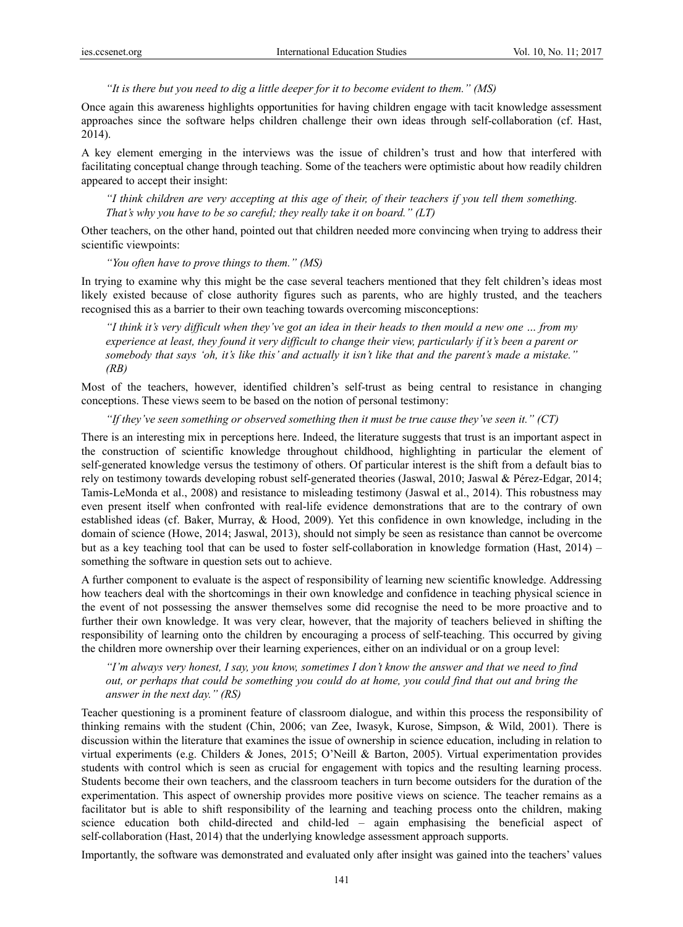*"It is there but you need to dig a little deeper for it to become evident to them." (MS)* 

Once again this awareness highlights opportunities for having children engage with tacit knowledge assessment approaches since the software helps children challenge their own ideas through self-collaboration (cf. Hast, 2014).

A key element emerging in the interviews was the issue of children's trust and how that interfered with facilitating conceptual change through teaching. Some of the teachers were optimistic about how readily children appeared to accept their insight:

*"I think children are very accepting at this age of their, of their teachers if you tell them something. That's why you have to be so careful; they really take it on board." (LT)* 

Other teachers, on the other hand, pointed out that children needed more convincing when trying to address their scientific viewpoints:

*"You often have to prove things to them." (MS)* 

In trying to examine why this might be the case several teachers mentioned that they felt children's ideas most likely existed because of close authority figures such as parents, who are highly trusted, and the teachers recognised this as a barrier to their own teaching towards overcoming misconceptions:

*"I think it's very difficult when they've got an idea in their heads to then mould a new one … from my experience at least, they found it very difficult to change their view, particularly if it's been a parent or somebody that says 'oh, it's like this' and actually it isn't like that and the parent's made a mistake." (RB)* 

Most of the teachers, however, identified children's self-trust as being central to resistance in changing conceptions. These views seem to be based on the notion of personal testimony:

*"If they've seen something or observed something then it must be true cause they've seen it." (CT)* 

There is an interesting mix in perceptions here. Indeed, the literature suggests that trust is an important aspect in the construction of scientific knowledge throughout childhood, highlighting in particular the element of self-generated knowledge versus the testimony of others. Of particular interest is the shift from a default bias to rely on testimony towards developing robust self-generated theories (Jaswal, 2010; Jaswal & Pérez-Edgar, 2014; Tamis-LeMonda et al., 2008) and resistance to misleading testimony (Jaswal et al., 2014). This robustness may even present itself when confronted with real-life evidence demonstrations that are to the contrary of own established ideas (cf. Baker, Murray, & Hood, 2009). Yet this confidence in own knowledge, including in the domain of science (Howe, 2014; Jaswal, 2013), should not simply be seen as resistance than cannot be overcome but as a key teaching tool that can be used to foster self-collaboration in knowledge formation (Hast, 2014) – something the software in question sets out to achieve.

A further component to evaluate is the aspect of responsibility of learning new scientific knowledge. Addressing how teachers deal with the shortcomings in their own knowledge and confidence in teaching physical science in the event of not possessing the answer themselves some did recognise the need to be more proactive and to further their own knowledge. It was very clear, however, that the majority of teachers believed in shifting the responsibility of learning onto the children by encouraging a process of self-teaching. This occurred by giving the children more ownership over their learning experiences, either on an individual or on a group level:

*"I'm always very honest, I say, you know, sometimes I don't know the answer and that we need to find out, or perhaps that could be something you could do at home, you could find that out and bring the answer in the next day." (RS)* 

Teacher questioning is a prominent feature of classroom dialogue, and within this process the responsibility of thinking remains with the student (Chin, 2006; van Zee, Iwasyk, Kurose, Simpson, & Wild, 2001). There is discussion within the literature that examines the issue of ownership in science education, including in relation to virtual experiments (e.g. Childers & Jones, 2015; O'Neill & Barton, 2005). Virtual experimentation provides students with control which is seen as crucial for engagement with topics and the resulting learning process. Students become their own teachers, and the classroom teachers in turn become outsiders for the duration of the experimentation. This aspect of ownership provides more positive views on science. The teacher remains as a facilitator but is able to shift responsibility of the learning and teaching process onto the children, making science education both child-directed and child-led – again emphasising the beneficial aspect of self-collaboration (Hast, 2014) that the underlying knowledge assessment approach supports.

Importantly, the software was demonstrated and evaluated only after insight was gained into the teachers' values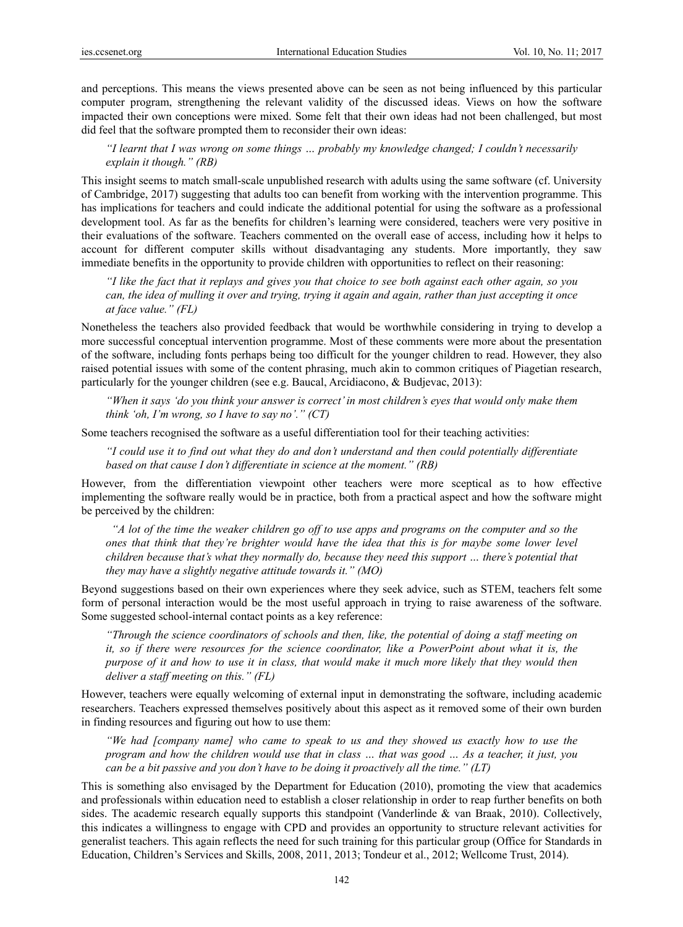and perceptions. This means the views presented above can be seen as not being influenced by this particular computer program, strengthening the relevant validity of the discussed ideas. Views on how the software impacted their own conceptions were mixed. Some felt that their own ideas had not been challenged, but most did feel that the software prompted them to reconsider their own ideas:

## *"I learnt that I was wrong on some things … probably my knowledge changed; I couldn't necessarily explain it though." (RB)*

This insight seems to match small-scale unpublished research with adults using the same software (cf. University of Cambridge, 2017) suggesting that adults too can benefit from working with the intervention programme. This has implications for teachers and could indicate the additional potential for using the software as a professional development tool. As far as the benefits for children's learning were considered, teachers were very positive in their evaluations of the software. Teachers commented on the overall ease of access, including how it helps to account for different computer skills without disadvantaging any students. More importantly, they saw immediate benefits in the opportunity to provide children with opportunities to reflect on their reasoning:

*"I like the fact that it replays and gives you that choice to see both against each other again, so you can, the idea of mulling it over and trying, trying it again and again, rather than just accepting it once at face value." (FL)* 

Nonetheless the teachers also provided feedback that would be worthwhile considering in trying to develop a more successful conceptual intervention programme. Most of these comments were more about the presentation of the software, including fonts perhaps being too difficult for the younger children to read. However, they also raised potential issues with some of the content phrasing, much akin to common critiques of Piagetian research, particularly for the younger children (see e.g. Baucal, Arcidiacono, & Budjevac, 2013):

*"When it says 'do you think your answer is correct' in most children's eyes that would only make them think 'oh, I'm wrong, so I have to say no'." (CT)* 

Some teachers recognised the software as a useful differentiation tool for their teaching activities:

*"I could use it to find out what they do and don't understand and then could potentially differentiate based on that cause I don't differentiate in science at the moment." (RB)* 

However, from the differentiation viewpoint other teachers were more sceptical as to how effective implementing the software really would be in practice, both from a practical aspect and how the software might be perceived by the children:

 *"A lot of the time the weaker children go off to use apps and programs on the computer and so the ones that think that they're brighter would have the idea that this is for maybe some lower level children because that's what they normally do, because they need this support … there's potential that they may have a slightly negative attitude towards it." (MO)* 

Beyond suggestions based on their own experiences where they seek advice, such as STEM, teachers felt some form of personal interaction would be the most useful approach in trying to raise awareness of the software. Some suggested school-internal contact points as a key reference:

*"Through the science coordinators of schools and then, like, the potential of doing a staff meeting on it, so if there were resources for the science coordinator, like a PowerPoint about what it is, the purpose of it and how to use it in class, that would make it much more likely that they would then deliver a staff meeting on this." (FL)* 

However, teachers were equally welcoming of external input in demonstrating the software, including academic researchers. Teachers expressed themselves positively about this aspect as it removed some of their own burden in finding resources and figuring out how to use them:

*"We had [company name] who came to speak to us and they showed us exactly how to use the program and how the children would use that in class … that was good … As a teacher, it just, you can be a bit passive and you don't have to be doing it proactively all the time." (LT)* 

This is something also envisaged by the Department for Education (2010), promoting the view that academics and professionals within education need to establish a closer relationship in order to reap further benefits on both sides. The academic research equally supports this standpoint (Vanderlinde & van Braak, 2010). Collectively, this indicates a willingness to engage with CPD and provides an opportunity to structure relevant activities for generalist teachers. This again reflects the need for such training for this particular group (Office for Standards in Education, Children's Services and Skills, 2008, 2011, 2013; Tondeur et al., 2012; Wellcome Trust, 2014).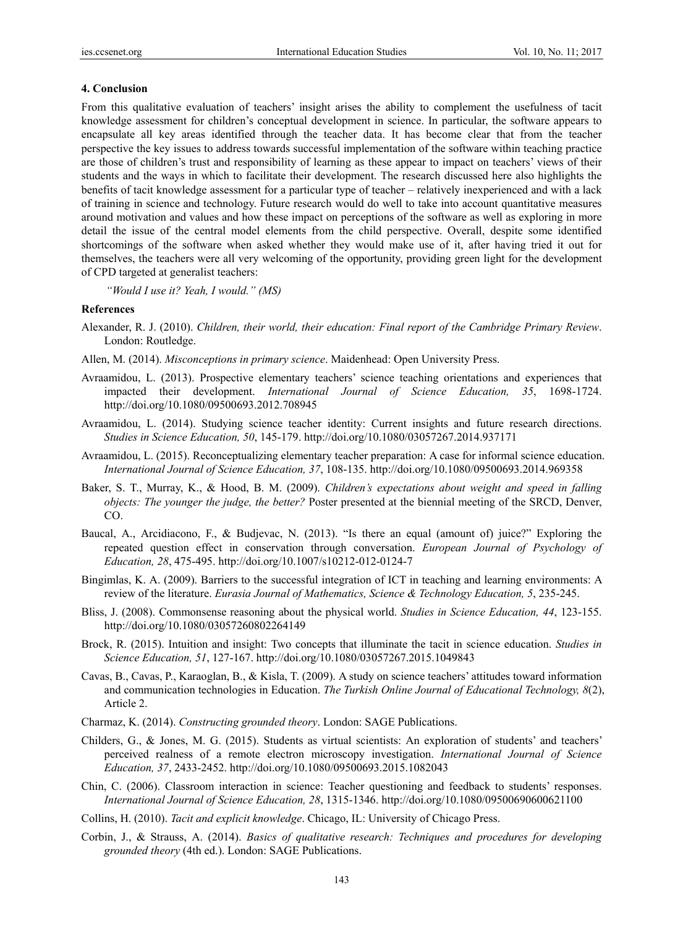### **4. Conclusion**

From this qualitative evaluation of teachers' insight arises the ability to complement the usefulness of tacit knowledge assessment for children's conceptual development in science. In particular, the software appears to encapsulate all key areas identified through the teacher data. It has become clear that from the teacher perspective the key issues to address towards successful implementation of the software within teaching practice are those of children's trust and responsibility of learning as these appear to impact on teachers' views of their students and the ways in which to facilitate their development. The research discussed here also highlights the benefits of tacit knowledge assessment for a particular type of teacher – relatively inexperienced and with a lack of training in science and technology. Future research would do well to take into account quantitative measures around motivation and values and how these impact on perceptions of the software as well as exploring in more detail the issue of the central model elements from the child perspective. Overall, despite some identified shortcomings of the software when asked whether they would make use of it, after having tried it out for themselves, the teachers were all very welcoming of the opportunity, providing green light for the development of CPD targeted at generalist teachers:

*"Would I use it? Yeah, I would." (MS)* 

# **References**

- Alexander, R. J. (2010). *Children, their world, their education: Final report of the Cambridge Primary Review*. London: Routledge.
- Allen, M. (2014). *Misconceptions in primary science*. Maidenhead: Open University Press.
- Avraamidou, L. (2013). Prospective elementary teachers' science teaching orientations and experiences that impacted their development. *International Journal of Science Education, 35*, 1698-1724. http://doi.org/10.1080/09500693.2012.708945
- Avraamidou, L. (2014). Studying science teacher identity: Current insights and future research directions. *Studies in Science Education, 50*, 145-179. http://doi.org/10.1080/03057267.2014.937171
- Avraamidou, L. (2015). Reconceptualizing elementary teacher preparation: A case for informal science education. *International Journal of Science Education, 37*, 108-135. http://doi.org/10.1080/09500693.2014.969358
- Baker, S. T., Murray, K., & Hood, B. M. (2009). *Children's expectations about weight and speed in falling objects: The younger the judge, the better?* Poster presented at the biennial meeting of the SRCD, Denver, CO.
- Baucal, A., Arcidiacono, F., & Budjevac, N. (2013). "Is there an equal (amount of) juice?" Exploring the repeated question effect in conservation through conversation. *European Journal of Psychology of Education, 28*, 475-495. http://doi.org/10.1007/s10212-012-0124-7
- Bingimlas, K. A. (2009). Barriers to the successful integration of ICT in teaching and learning environments: A review of the literature. *Eurasia Journal of Mathematics, Science & Technology Education, 5*, 235-245.
- Bliss, J. (2008). Commonsense reasoning about the physical world. *Studies in Science Education, 44*, 123-155. http://doi.org/10.1080/03057260802264149
- Brock, R. (2015). Intuition and insight: Two concepts that illuminate the tacit in science education. *Studies in Science Education, 51*, 127-167. http://doi.org/10.1080/03057267.2015.1049843
- Cavas, B., Cavas, P., Karaoglan, B., & Kisla, T. (2009). A study on science teachers' attitudes toward information and communication technologies in Education. *The Turkish Online Journal of Educational Technology, 8*(2), Article 2.
- Charmaz, K. (2014). *Constructing grounded theory*. London: SAGE Publications.
- Childers, G., & Jones, M. G. (2015). Students as virtual scientists: An exploration of students' and teachers' perceived realness of a remote electron microscopy investigation. *International Journal of Science Education, 37*, 2433-2452. http://doi.org/10.1080/09500693.2015.1082043
- Chin, C. (2006). Classroom interaction in science: Teacher questioning and feedback to students' responses. *International Journal of Science Education, 28*, 1315-1346. http://doi.org/10.1080/09500690600621100
- Collins, H. (2010). *Tacit and explicit knowledge*. Chicago, IL: University of Chicago Press.
- Corbin, J., & Strauss, A. (2014). *Basics of qualitative research: Techniques and procedures for developing grounded theory* (4th ed.). London: SAGE Publications.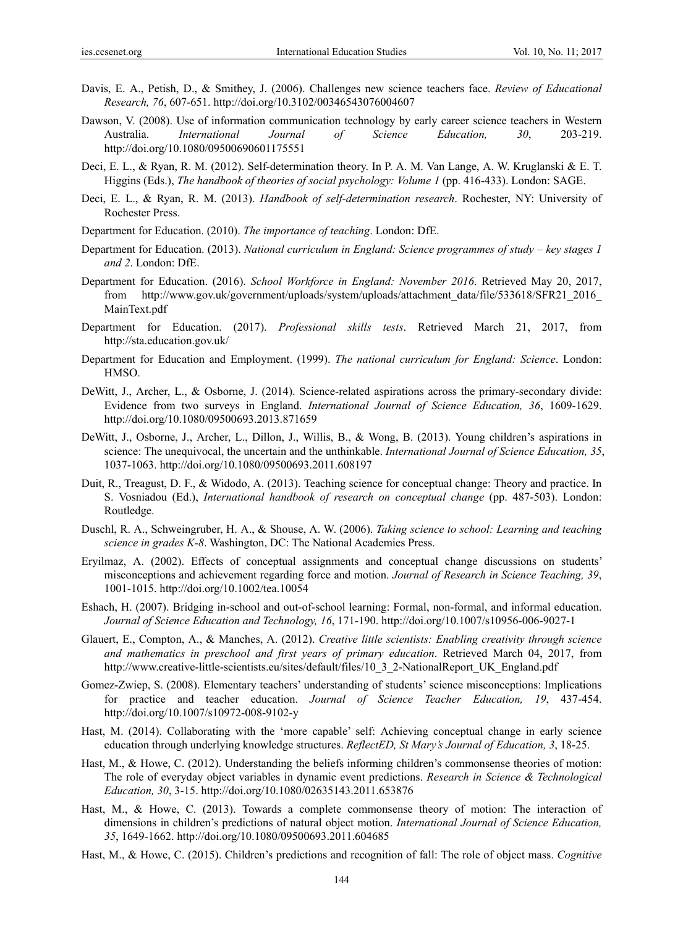- Davis, E. A., Petish, D., & Smithey, J. (2006). Challenges new science teachers face. *Review of Educational Research, 76*, 607-651. http://doi.org/10.3102/00346543076004607
- Dawson, V. (2008). Use of information communication technology by early career science teachers in Western Australia. *International Journal of Science Education, 30*, 203-219. http://doi.org/10.1080/09500690601175551
- Deci, E. L., & Ryan, R. M. (2012). Self-determination theory. In P. A. M. Van Lange, A. W. Kruglanski & E. T. Higgins (Eds.), *The handbook of theories of social psychology: Volume 1* (pp. 416-433). London: SAGE.
- Deci, E. L., & Ryan, R. M. (2013). *Handbook of self-determination research*. Rochester, NY: University of Rochester Press.
- Department for Education. (2010). *The importance of teaching*. London: DfE.
- Department for Education. (2013). *National curriculum in England: Science programmes of study key stages 1 and 2*. London: DfE.
- Department for Education. (2016). *School Workforce in England: November 2016*. Retrieved May 20, 2017, from http://www.gov.uk/government/uploads/system/uploads/attachment\_data/file/533618/SFR21\_2016\_ MainText.pdf
- Department for Education. (2017). *Professional skills tests*. Retrieved March 21, 2017, from http://sta.education.gov.uk/
- Department for Education and Employment. (1999). *The national curriculum for England: Science*. London: HMSO.
- DeWitt, J., Archer, L., & Osborne, J. (2014). Science-related aspirations across the primary-secondary divide: Evidence from two surveys in England. *International Journal of Science Education, 36*, 1609-1629. http://doi.org/10.1080/09500693.2013.871659
- DeWitt, J., Osborne, J., Archer, L., Dillon, J., Willis, B., & Wong, B. (2013). Young children's aspirations in science: The unequivocal, the uncertain and the unthinkable. *International Journal of Science Education, 35*, 1037-1063. http://doi.org/10.1080/09500693.2011.608197
- Duit, R., Treagust, D. F., & Widodo, A. (2013). Teaching science for conceptual change: Theory and practice. In S. Vosniadou (Ed.), *International handbook of research on conceptual change* (pp. 487-503). London: Routledge.
- Duschl, R. A., Schweingruber, H. A., & Shouse, A. W. (2006). *Taking science to school: Learning and teaching science in grades K-8*. Washington, DC: The National Academies Press.
- Eryilmaz, A. (2002). Effects of conceptual assignments and conceptual change discussions on students' misconceptions and achievement regarding force and motion. *Journal of Research in Science Teaching, 39*, 1001-1015. http://doi.org/10.1002/tea.10054
- Eshach, H. (2007). Bridging in-school and out-of-school learning: Formal, non-formal, and informal education. *Journal of Science Education and Technology, 16*, 171-190. http://doi.org/10.1007/s10956-006-9027-1
- Glauert, E., Compton, A., & Manches, A. (2012). *Creative little scientists: Enabling creativity through science and mathematics in preschool and first years of primary education*. Retrieved March 04, 2017, from http://www.creative-little-scientists.eu/sites/default/files/10\_3\_2-NationalReport\_UK\_England.pdf
- Gomez-Zwiep, S. (2008). Elementary teachers' understanding of students' science misconceptions: Implications for practice and teacher education. *Journal of Science Teacher Education, 19*, 437-454. http://doi.org/10.1007/s10972-008-9102-y
- Hast, M. (2014). Collaborating with the 'more capable' self: Achieving conceptual change in early science education through underlying knowledge structures. *ReflectED, St Mary's Journal of Education, 3*, 18-25.
- Hast, M., & Howe, C. (2012). Understanding the beliefs informing children's commonsense theories of motion: The role of everyday object variables in dynamic event predictions. *Research in Science & Technological Education, 30*, 3-15. http://doi.org/10.1080/02635143.2011.653876
- Hast, M., & Howe, C. (2013). Towards a complete commonsense theory of motion: The interaction of dimensions in children's predictions of natural object motion. *International Journal of Science Education, 35*, 1649-1662. http://doi.org/10.1080/09500693.2011.604685
- Hast, M., & Howe, C. (2015). Children's predictions and recognition of fall: The role of object mass. *Cognitive*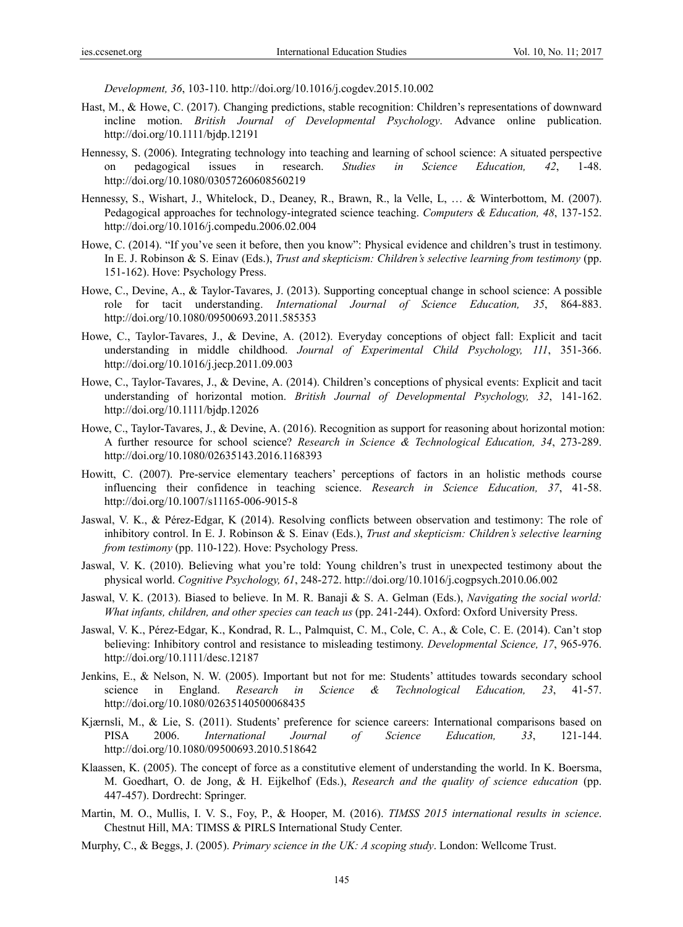*Development, 36*, 103-110. http://doi.org/10.1016/j.cogdev.2015.10.002

- Hast, M., & Howe, C. (2017). Changing predictions, stable recognition: Children's representations of downward incline motion. *British Journal of Developmental Psychology*. Advance online publication. http://doi.org/10.1111/bjdp.12191
- Hennessy, S. (2006). Integrating technology into teaching and learning of school science: A situated perspective on pedagogical issues in research. *Studies in Science Education, 42*, 1-48. http://doi.org/10.1080/03057260608560219
- Hennessy, S., Wishart, J., Whitelock, D., Deaney, R., Brawn, R., la Velle, L, … & Winterbottom, M. (2007). Pedagogical approaches for technology-integrated science teaching. *Computers & Education, 48*, 137-152. http://doi.org/10.1016/j.compedu.2006.02.004
- Howe, C. (2014). "If you've seen it before, then you know": Physical evidence and children's trust in testimony. In E. J. Robinson & S. Einav (Eds.), *Trust and skepticism: Children's selective learning from testimony* (pp. 151-162). Hove: Psychology Press.
- Howe, C., Devine, A., & Taylor-Tavares, J. (2013). Supporting conceptual change in school science: A possible role for tacit understanding. *International Journal of Science Education, 35*, 864-883. http://doi.org/10.1080/09500693.2011.585353
- Howe, C., Taylor-Tavares, J., & Devine, A. (2012). Everyday conceptions of object fall: Explicit and tacit understanding in middle childhood. *Journal of Experimental Child Psychology, 111*, 351-366. http://doi.org/10.1016/j.jecp.2011.09.003
- Howe, C., Taylor-Tavares, J., & Devine, A. (2014). Children's conceptions of physical events: Explicit and tacit understanding of horizontal motion. *British Journal of Developmental Psychology, 32*, 141-162. http://doi.org/10.1111/bjdp.12026
- Howe, C., Taylor-Tavares, J., & Devine, A. (2016). Recognition as support for reasoning about horizontal motion: A further resource for school science? *Research in Science & Technological Education, 34*, 273-289. http://doi.org/10.1080/02635143.2016.1168393
- Howitt, C. (2007). Pre-service elementary teachers' perceptions of factors in an holistic methods course influencing their confidence in teaching science. *Research in Science Education, 37*, 41-58. http://doi.org/10.1007/s11165-006-9015-8
- Jaswal, V. K., & Pérez-Edgar, K (2014). Resolving conflicts between observation and testimony: The role of inhibitory control. In E. J. Robinson & S. Einav (Eds.), *Trust and skepticism: Children's selective learning from testimony* (pp. 110-122). Hove: Psychology Press.
- Jaswal, V. K. (2010). Believing what you're told: Young children's trust in unexpected testimony about the physical world. *Cognitive Psychology, 61*, 248-272. http://doi.org/10.1016/j.cogpsych.2010.06.002
- Jaswal, V. K. (2013). Biased to believe. In M. R. Banaji & S. A. Gelman (Eds.), *Navigating the social world: What infants, children, and other species can teach us* (pp. 241-244). Oxford: Oxford University Press.
- Jaswal, V. K., Pérez-Edgar, K., Kondrad, R. L., Palmquist, C. M., Cole, C. A., & Cole, C. E. (2014). Can't stop believing: Inhibitory control and resistance to misleading testimony. *Developmental Science, 17*, 965-976. http://doi.org/10.1111/desc.12187
- Jenkins, E., & Nelson, N. W. (2005). Important but not for me: Students' attitudes towards secondary school science in England. *Research in Science & Technological Education, 23*, 41-57. http://doi.org/10.1080/02635140500068435
- Kjærnsli, M., & Lie, S. (2011). Students' preference for science careers: International comparisons based on PISA 2006. *International Journal of Science Education, 33*, 121-144. http://doi.org/10.1080/09500693.2010.518642
- Klaassen, K. (2005). The concept of force as a constitutive element of understanding the world. In K. Boersma, M. Goedhart, O. de Jong, & H. Eijkelhof (Eds.), *Research and the quality of science education* (pp. 447-457). Dordrecht: Springer.
- Martin, M. O., Mullis, I. V. S., Foy, P., & Hooper, M. (2016). *TIMSS 2015 international results in science*. Chestnut Hill, MA: TIMSS & PIRLS International Study Center.
- Murphy, C., & Beggs, J. (2005). *Primary science in the UK: A scoping study*. London: Wellcome Trust.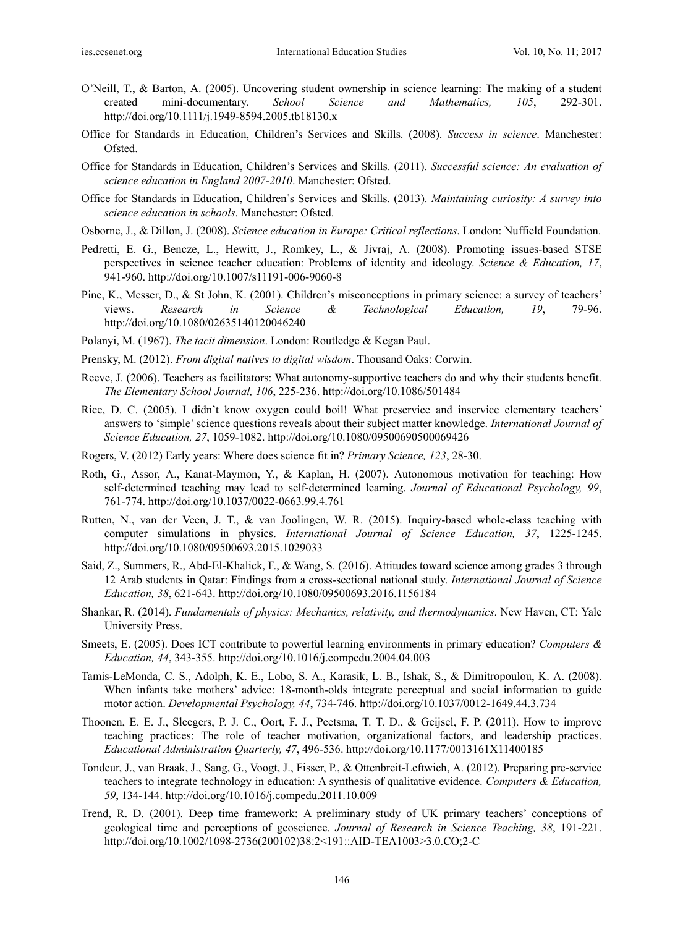- O'Neill, T., & Barton, A. (2005). Uncovering student ownership in science learning: The making of a student created mini-documentary. *School Science and Mathematics, 105*, 292-301. http://doi.org/10.1111/j.1949-8594.2005.tb18130.x
- Office for Standards in Education, Children's Services and Skills. (2008). *Success in science*. Manchester: Ofsted.
- Office for Standards in Education, Children's Services and Skills. (2011). *Successful science: An evaluation of science education in England 2007-2010*. Manchester: Ofsted.
- Office for Standards in Education, Children's Services and Skills. (2013). *Maintaining curiosity: A survey into science education in schools*. Manchester: Ofsted.
- Osborne, J., & Dillon, J. (2008). *Science education in Europe: Critical reflections*. London: Nuffield Foundation.
- Pedretti, E. G., Bencze, L., Hewitt, J., Romkey, L., & Jivraj, A. (2008). Promoting issues-based STSE perspectives in science teacher education: Problems of identity and ideology. *Science & Education, 17*, 941-960. http://doi.org/10.1007/s11191-006-9060-8
- Pine, K., Messer, D., & St John, K. (2001). Children's misconceptions in primary science: a survey of teachers' views. *Research in Science & Technological Education, 19*, 79-96. http://doi.org/10.1080/02635140120046240
- Polanyi, M. (1967). *The tacit dimension*. London: Routledge & Kegan Paul.
- Prensky, M. (2012). *From digital natives to digital wisdom*. Thousand Oaks: Corwin.
- Reeve, J. (2006). Teachers as facilitators: What autonomy-supportive teachers do and why their students benefit. *The Elementary School Journal, 106*, 225-236. http://doi.org/10.1086/501484
- Rice, D. C. (2005). I didn't know oxygen could boil! What preservice and inservice elementary teachers' answers to 'simple' science questions reveals about their subject matter knowledge. *International Journal of Science Education, 27*, 1059-1082. http://doi.org/10.1080/09500690500069426
- Rogers, V. (2012) Early years: Where does science fit in? *Primary Science, 123*, 28-30.
- Roth, G., Assor, A., Kanat-Maymon, Y., & Kaplan, H. (2007). Autonomous motivation for teaching: How self-determined teaching may lead to self-determined learning. *Journal of Educational Psychology, 99*, 761-774. http://doi.org/10.1037/0022-0663.99.4.761
- Rutten, N., van der Veen, J. T., & van Joolingen, W. R. (2015). Inquiry-based whole-class teaching with computer simulations in physics. *International Journal of Science Education, 37*, 1225-1245. http://doi.org/10.1080/09500693.2015.1029033
- Said, Z., Summers, R., Abd-El-Khalick, F., & Wang, S. (2016). Attitudes toward science among grades 3 through 12 Arab students in Qatar: Findings from a cross-sectional national study. *International Journal of Science Education, 38*, 621-643. http://doi.org/10.1080/09500693.2016.1156184
- Shankar, R. (2014). *Fundamentals of physics: Mechanics, relativity, and thermodynamics*. New Haven, CT: Yale University Press.
- Smeets, E. (2005). Does ICT contribute to powerful learning environments in primary education? *Computers & Education, 44*, 343-355. http://doi.org/10.1016/j.compedu.2004.04.003
- Tamis-LeMonda, C. S., Adolph, K. E., Lobo, S. A., Karasik, L. B., Ishak, S., & Dimitropoulou, K. A. (2008). When infants take mothers' advice: 18-month-olds integrate perceptual and social information to guide motor action. *Developmental Psychology, 44*, 734-746. http://doi.org/10.1037/0012-1649.44.3.734
- Thoonen, E. E. J., Sleegers, P. J. C., Oort, F. J., Peetsma, T. T. D., & Geijsel, F. P. (2011). How to improve teaching practices: The role of teacher motivation, organizational factors, and leadership practices. *Educational Administration Quarterly, 47*, 496-536. http://doi.org/10.1177/0013161X11400185
- Tondeur, J., van Braak, J., Sang, G., Voogt, J., Fisser, P., & Ottenbreit-Leftwich, A. (2012). Preparing pre-service teachers to integrate technology in education: A synthesis of qualitative evidence. *Computers & Education, 59*, 134-144. http://doi.org/10.1016/j.compedu.2011.10.009
- Trend, R. D. (2001). Deep time framework: A preliminary study of UK primary teachers' conceptions of geological time and perceptions of geoscience. *Journal of Research in Science Teaching, 38*, 191-221. http://doi.org/10.1002/1098-2736(200102)38:2<191::AID-TEA1003>3.0.CO;2-C